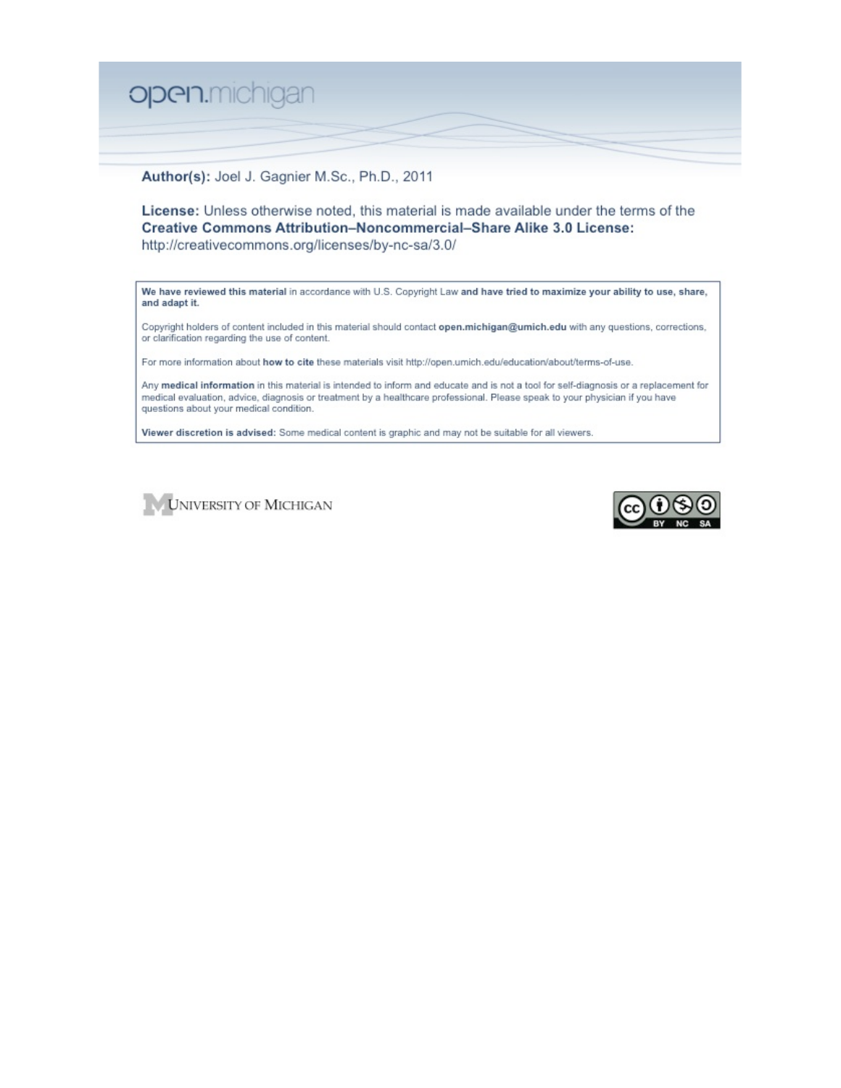

Author(s): Joel J. Gagnier M.Sc., Ph.D., 2011

License: Unless otherwise noted, this material is made available under the terms of the Creative Commons Attribution-Noncommercial-Share Alike 3.0 License: http://creativecommons.org/licenses/by-nc-sa/3.0/

We have reviewed this material in accordance with U.S. Copyright Law and have tried to maximize your ability to use, share, and adapt it.

Copyright holders of content included in this material should contact open.michigan@umich.edu with any questions, corrections, or clarification regarding the use of content.

For more information about how to cite these materials visit http://open.umich.edu/education/about/terms-of-use.

Any medical information in this material is intended to inform and educate and is not a tool for self-diagnosis or a replacement for medical evaluation, advice, diagnosis or treatment by a healthcare professional. Please speak to your physician if you have questions about your medical condition.

Viewer discretion is advised: Some medical content is graphic and may not be suitable for all viewers.



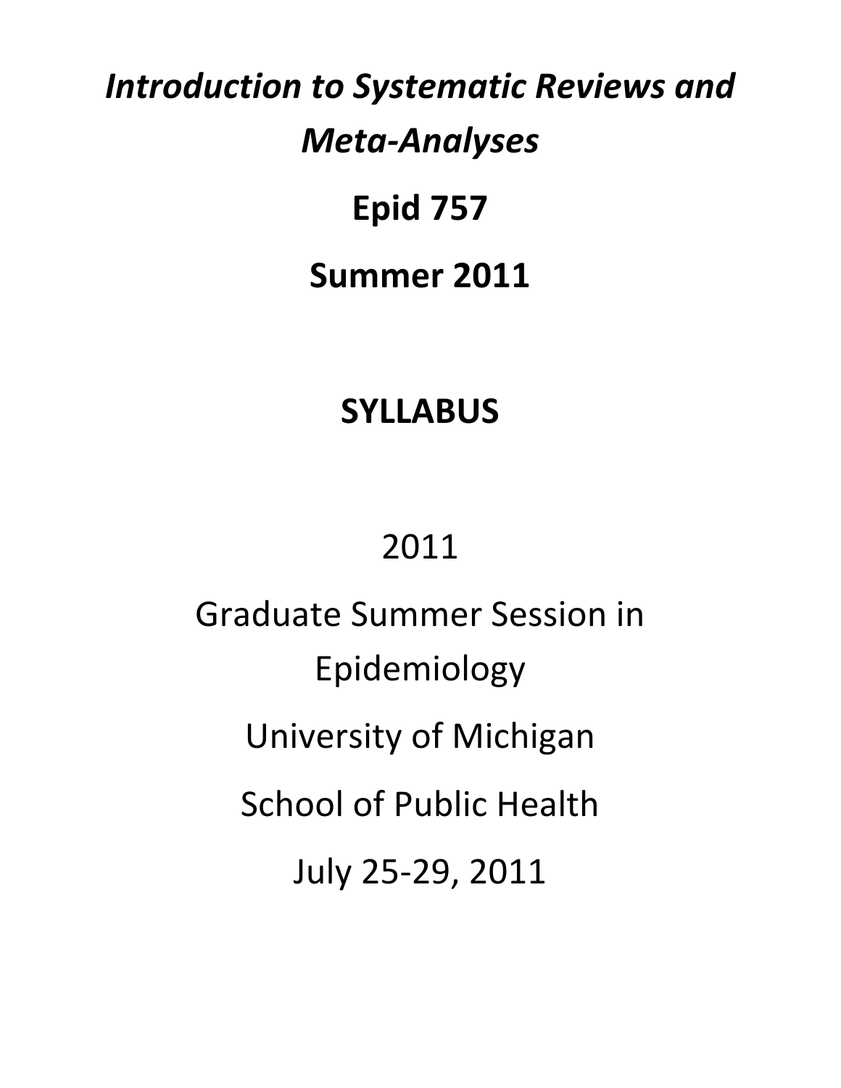# *Introduction to Systematic Reviews and Meta‐Analyses*

# **Epid 757 Summer 2011**

## **SYLLABUS**

## 2011

Graduate Summer Session in Epidemiology University of Michigan School of Public Health July 25‐29, 2011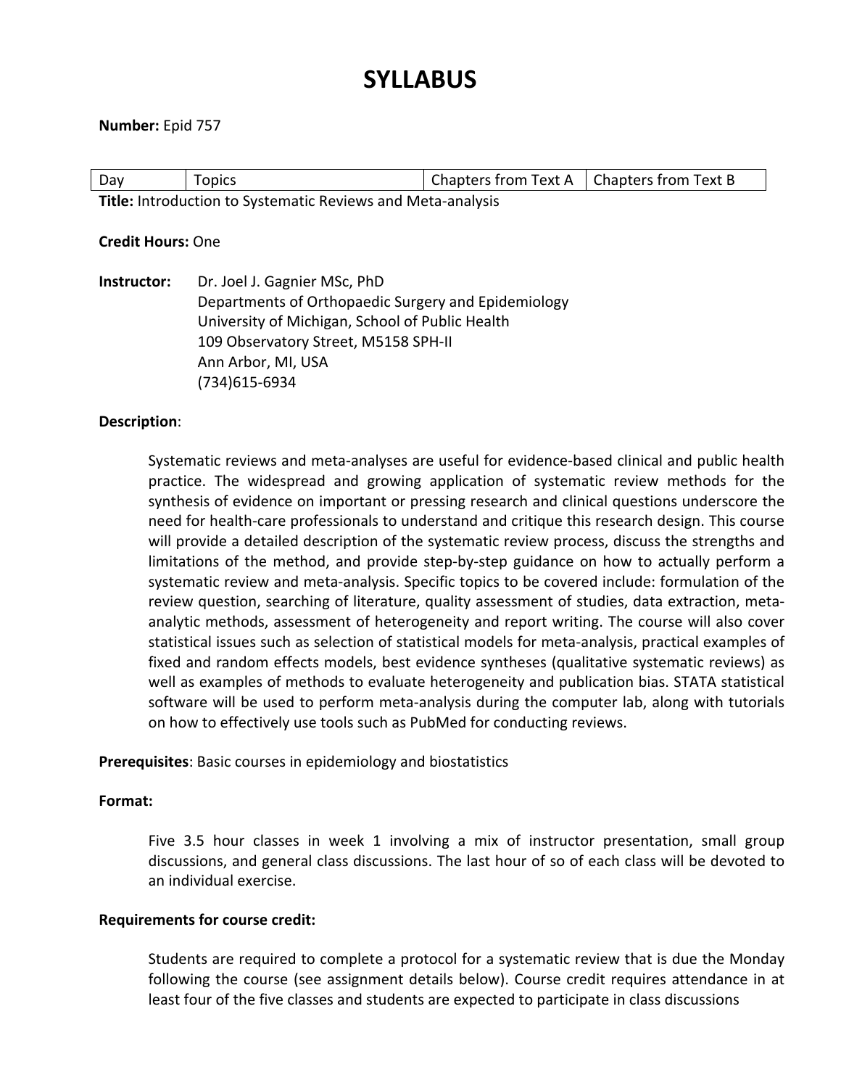### **SYLLABUS**

#### **Number:** Epid 757

| Day                                                         | Topics | $\mid$ Chapters from Text A $\mid$ Chapters from Text B |  |  |
|-------------------------------------------------------------|--------|---------------------------------------------------------|--|--|
| Title: Introduction to Systematic Reviews and Meta-analysis |        |                                                         |  |  |

#### **Credit Hours:** One

**Instructor:**  Dr. Joel J. Gagnier MSc, PhD Departments of Orthopaedic Surgery and Epidemiology University of Michigan, School of Public Health 109 Observatory Street, M5158 SPH‐II Ann Arbor, MI, USA (734)615‐6934

#### **Description**:

Systematic reviews and meta‐analyses are useful for evidence‐based clinical and public health practice. The widespread and growing application of systematic review methods for the synthesis of evidence on important or pressing research and clinical questions underscore the need for health‐care professionals to understand and critique this research design. This course will provide a detailed description of the systematic review process, discuss the strengths and limitations of the method, and provide step-by-step guidance on how to actually perform a systematic review and meta‐analysis. Specific topics to be covered include: formulation of the review question, searching of literature, quality assessment of studies, data extraction, meta‐ analytic methods, assessment of heterogeneity and report writing. The course will also cover statistical issues such as selection of statistical models for meta‐analysis, practical examples of fixed and random effects models, best evidence syntheses (qualitative systematic reviews) as well as examples of methods to evaluate heterogeneity and publication bias. STATA statistical software will be used to perform meta-analysis during the computer lab, along with tutorials on how to effectively use tools such as PubMed for conducting reviews.

**Prerequisites**: Basic courses in epidemiology and biostatistics

#### **Format:**

Five 3.5 hour classes in week 1 involving a mix of instructor presentation, small group discussions, and general class discussions. The last hour of so of each class will be devoted to an individual exercise.

#### **Requirements for course credit:**

Students are required to complete a protocol for a systematic review that is due the Monday following the course (see assignment details below). Course credit requires attendance in at least four of the five classes and students are expected to participate in class discussions